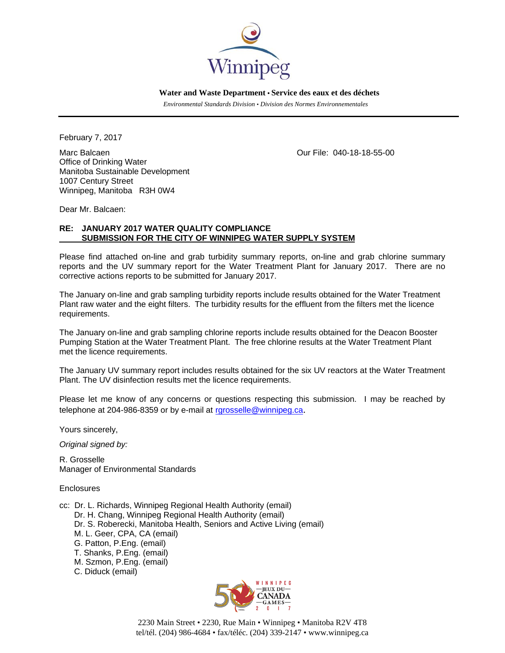

 **Water and Waste Department • Service des eaux et des déchets**

 *Environmental Standards Division • Division des Normes Environnementales* 

February 7, 2017

Marc Balcaen Our File: 040-18-18-55-00 Office of Drinking Water Manitoba Sustainable Development 1007 Century Street Winnipeg, Manitoba R3H 0W4

Dear Mr. Balcaen:

## **RE: JANUARY 2017 WATER QUALITY COMPLIANCE SUBMISSION FOR THE CITY OF WINNIPEG WATER SUPPLY SYSTEM**

Please find attached on-line and grab turbidity summary reports, on-line and grab chlorine summary reports and the UV summary report for the Water Treatment Plant for January 2017. There are no corrective actions reports to be submitted for January 2017.

The January on-line and grab sampling turbidity reports include results obtained for the Water Treatment Plant raw water and the eight filters. The turbidity results for the effluent from the filters met the licence requirements.

The January on-line and grab sampling chlorine reports include results obtained for the Deacon Booster Pumping Station at the Water Treatment Plant. The free chlorine results at the Water Treatment Plant met the licence requirements.

The January UV summary report includes results obtained for the six UV reactors at the Water Treatment Plant. The UV disinfection results met the licence requirements.

Please let me know of any concerns or questions respecting this submission. I may be reached by telephone at 204-986-8359 or by e-mail at rgrosselle@winnipeg.ca.

Yours sincerely,

*Original signed by:* 

R. Grosselle Manager of Environmental Standards

Enclosures

- cc: Dr. L. Richards, Winnipeg Regional Health Authority (email) Dr. H. Chang, Winnipeg Regional Health Authority (email) Dr. S. Roberecki, Manitoba Health, Seniors and Active Living (email) M. L. Geer, CPA, CA (email) G. Patton, P.Eng. (email) T. Shanks, P.Eng. (email) M. Szmon, P.Eng. (email)
	- C. Diduck (email)



2230 Main Street • 2230, Rue Main • Winnipeg • Manitoba R2V 4T8 tel/tél. (204) 986-4684 • fax/téléc. (204) 339-2147 • www.winnipeg.ca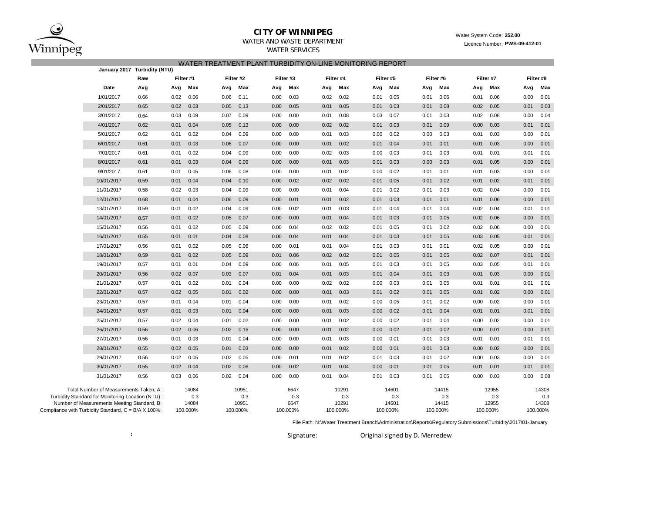

# **CITY OF WINNIPEG**

## WATER AND WASTE DEPARTMENT

WATER SERVICES

#### Water System Code: **252.00** Licence Number: **PWS-09-412-01**

| WATER TREATMENT PLANT TURBIDITY ON-LINE MONITORING REPORT |  |  |  |
|-----------------------------------------------------------|--|--|--|
|                                                           |  |  |  |

|                                                                                                  | January 2017 Turbidity (NTU) |           |              |      |              |           |             |           |              |           |              |           |              |      |              |      |              |
|--------------------------------------------------------------------------------------------------|------------------------------|-----------|--------------|------|--------------|-----------|-------------|-----------|--------------|-----------|--------------|-----------|--------------|------|--------------|------|--------------|
|                                                                                                  | Raw                          | Filter #1 |              |      | Filter #2    | Filter #3 |             | Filter #4 |              | Filter #5 |              | Filter #6 |              |      | Filter #7    |      | Filter #8    |
| Date                                                                                             | Avg                          | Avg       | Max          | Avg  | Max          | Avg       | Max         | Avg       | Max          | Avg       | Max          | Avg       | Max          | Avg  | Max          | Avg  | Max          |
| 1/01/2017                                                                                        | 0.66                         | 0.02      | 0.06         | 0.06 | 0.11         | 0.00      | 0.03        | 0.02      | 0.02         | 0.01      | 0.05         | 0.01      | 0.06         | 0.01 | 0.06         | 0.00 | 0.01         |
| 2/01/2017                                                                                        | 0.65                         | 0.02      | 0.03         | 0.05 | 0.13         | 0.00      | 0.05        | 0.01      | 0.05         | 0.01      | 0.03         | 0.01      | 0.08         | 0.02 | 0.05         | 0.01 | 0.03         |
| 3/01/2017                                                                                        | 0.64                         | 0.03      | 0.09         | 0.07 | 0.09         | 0.00      | 0.00        | 0.01      | 0.08         | 0.03      | 0.07         | 0.01      | 0.03         | 0.02 | 0.08         | 0.00 | 0.04         |
| 4/01/2017                                                                                        | 0.62                         | 0.01      | 0.04         | 0.05 | 0.13         | 0.00      | 0.00        | 0.02      | 0.02         | 0.01      | 0.03         | 0.01      | 0.09         | 0.00 | 0.03         | 0.01 | 0.01         |
| 5/01/2017                                                                                        | 0.62                         | 0.01      | 0.02         | 0.04 | 0.09         | 0.00      | 0.00        | 0.01      | 0.03         | 0.00      | 0.02         | 0.00      | 0.03         | 0.01 | 0.03         | 0.00 | 0.01         |
| 6/01/2017                                                                                        | 0.61                         | 0.01      | 0.03         | 0.06 | 0.07         | 0.00      | 0.00        | 0.01      | 0.02         | 0.01      | 0.04         | 0.01      | 0.01         | 0.01 | 0.03         | 0.00 | 0.01         |
| 7/01/2017                                                                                        | 0.61                         | 0.01      | 0.02         | 0.04 | 0.09         | 0.00      | 0.00        | 0.02      | 0.03         | 0.00      | 0.03         | 0.01      | 0.03         | 0.01 | 0.01         | 0.01 | 0.01         |
| 8/01/2017                                                                                        | 0.61                         | 0.01      | 0.03         | 0.04 | 0.09         | 0.00      | 0.00        | 0.01      | 0.03         | 0.01      | 0.03         | 0.00      | 0.03         | 0.01 | 0.05         | 0.00 | 0.01         |
| 9/01/2017                                                                                        | 0.61                         | 0.01      | 0.05         | 0.06 | 0.08         | 0.00      | 0.00        | 0.01      | 0.02         | 0.00      | 0.02         | 0.01      | 0.01         | 0.01 | 0.03         | 0.00 | 0.01         |
| 10/01/2017                                                                                       | 0.59                         | 0.01      | 0.04         | 0.04 | 0.10         | 0.00      | 0.02        | 0.02      | 0.02         | 0.01      | 0.05         | 0.01      | 0.02         | 0.01 | 0.02         | 0.01 | 0.01         |
| 11/01/2017                                                                                       | 0.58                         | 0.02      | 0.03         | 0.04 | 0.09         | 0.00      | 0.00        | 0.01      | 0.04         | 0.01      | 0.02         | 0.01      | 0.03         | 0.02 | 0.04         | 0.00 | 0.01         |
| 12/01/2017                                                                                       | 0.68                         | 0.01      | 0.04         | 0.06 | 0.09         | 0.00      | 0.01        | 0.01      | 0.02         | 0.01      | 0.03         | 0.01      | 0.01         | 0.01 | 0.06         | 0.00 | 0.01         |
| 13/01/2017                                                                                       | 0.59                         | 0.01      | 0.02         | 0.04 | 0.09         | 0.00      | 0.02        | 0.01      | 0.03         | 0.01      | 0.04         | 0.01      | 0.04         | 0.02 | 0.04         | 0.01 | 0.01         |
| 14/01/2017                                                                                       | 0.57                         | 0.01      | 0.02         | 0.05 | 0.07         | 0.00      | 0.00        | 0.01      | 0.04         | 0.01      | 0.03         | 0.01      | 0.05         | 0.02 | 0.06         | 0.00 | 0.01         |
| 15/01/2017                                                                                       | 0.56                         | 0.01      | 0.02         | 0.05 | 0.09         | 0.00      | 0.04        | 0.02      | 0.02         | 0.01      | 0.05         | 0.01      | 0.02         | 0.02 | 0.06         | 0.00 | 0.01         |
| 16/01/2017                                                                                       | 0.55                         | 0.01      | 0.01         | 0.04 | 0.08         | 0.00      | 0.04        | 0.01      | 0.04         | 0.01      | 0.03         | 0.01      | 0.05         | 0.03 | 0.05         | 0.01 | 0.01         |
| 17/01/2017                                                                                       | 0.56                         | 0.01      | 0.02         | 0.05 | 0.06         | 0.00      | 0.01        | 0.01      | 0.04         | 0.01      | 0.03         | 0.01      | 0.01         | 0.02 | 0.05         | 0.00 | 0.01         |
| 18/01/2017                                                                                       | 0.59                         | 0.01      | 0.02         | 0.05 | 0.09         | 0.01      | 0.06        | 0.02      | 0.02         | 0.01      | 0.05         | 0.01      | 0.05         | 0.02 | 0.07         | 0.01 | 0.01         |
| 19/01/2017                                                                                       | 0.57                         | 0.01      | 0.01         | 0.04 | 0.09         | 0.00      | 0.06        | 0.01      | 0.05         | 0.01      | 0.03         | 0.01      | 0.05         | 0.03 | 0.05         | 0.01 | 0.01         |
| 20/01/2017                                                                                       | 0.56                         | 0.02      | 0.07         | 0.03 | 0.07         | 0.01      | 0.04        | 0.01      | 0.03         | 0.01      | 0.04         | 0.01      | 0.03         | 0.01 | 0.03         | 0.00 | 0.01         |
| 21/01/2017                                                                                       | 0.57                         | 0.01      | 0.02         | 0.01 | 0.04         | 0.00      | 0.00        | 0.02      | 0.02         | 0.00      | 0.03         | 0.01      | 0.05         | 0.01 | 0.01         | 0.01 | 0.01         |
| 22/01/2017                                                                                       | 0.57                         | 0.02      | 0.05         | 0.01 | 0.02         | 0.00      | 0.00        | 0.01      | 0.03         | 0.01      | 0.02         | 0.01      | 0.05         | 0.01 | 0.02         | 0.00 | 0.01         |
| 23/01/2017                                                                                       | 0.57                         | 0.01      | 0.04         | 0.01 | 0.04         | 0.00      | 0.00        | 0.01      | 0.02         | 0.00      | 0.05         | 0.01      | 0.02         | 0.00 | 0.02         | 0.00 | 0.01         |
| 24/01/2017                                                                                       | 0.57                         | 0.01      | 0.03         | 0.01 | 0.04         | 0.00      | 0.00        | 0.01      | 0.03         | 0.00      | 0.02         | 0.01      | 0.04         | 0.01 | 0.01         | 0.01 | 0.01         |
| 25/01/2017                                                                                       | 0.57                         | 0.02      | 0.04         | 0.01 | 0.02         | 0.00      | 0.00        | 0.01      | 0.02         | 0.00      | 0.02         | 0.01      | 0.04         | 0.00 | 0.02         | 0.00 | 0.01         |
| 26/01/2017                                                                                       | 0.56                         | 0.02      | 0.06         | 0.02 | 0.16         | 0.00      | 0.00        | 0.01      | 0.02         | 0.00      | 0.02         | 0.01      | 0.02         | 0.00 | 0.01         | 0.00 | 0.01         |
| 27/01/2017                                                                                       | 0.56                         | 0.01      | 0.03         | 0.01 | 0.04         | 0.00      | 0.00        | 0.01      | 0.03         | 0.00      | 0.01         | 0.01      | 0.03         | 0.01 | 0.01         | 0.01 | 0.01         |
| 28/01/2017                                                                                       | 0.55                         | 0.02      | 0.05         | 0.01 | 0.03         | 0.00      | 0.00        | 0.01      | 0.02         | 0.00      | 0.01         | 0.01      | 0.03         | 0.00 | 0.02         | 0.00 | 0.01         |
| 29/01/2017                                                                                       | 0.56                         | 0.02      | 0.05         | 0.02 | 0.05         | 0.00      | 0.01        | 0.01      | 0.02         | 0.01      | 0.03         | 0.01      | 0.02         | 0.00 | 0.03         | 0.00 | 0.01         |
| 30/01/2017                                                                                       | 0.55                         | 0.02      | 0.04         | 0.02 | 0.06         | 0.00      | 0.02        | 0.01      | 0.04         | 0.00      | 0.01         | 0.01      | 0.05         | 0.01 | 0.01         | 0.01 | 0.01         |
| 31/01/2017                                                                                       | 0.56                         | 0.03      | 0.06         | 0.02 | 0.04         | 0.00      | 0.00        | 0.01      | 0.04         | 0.01      | 0.03         | 0.01      | 0.05         | 0.00 | 0.03         | 0.00 | 0.08         |
| Total Number of Measurements Taken, A:                                                           |                              |           | 14084        |      | 10951        |           | 6647        |           | 10291        |           | 14601        |           | 14415        |      | 12955        |      | 14308        |
| Turbidity Standard for Monitoring Location (NTU):<br>Number of Measurements Meeting Standard, B: |                              |           | 0.3<br>14084 |      | 0.3<br>10951 |           | 0.3<br>6647 |           | 0.3<br>10291 |           | 0.3<br>14601 |           | 0.3<br>14415 |      | 0.3<br>12955 |      | 0.3<br>14308 |
| Compliance with Turbidity Standard, C = B/A X 100%:                                              |                              | 100.000%  |              |      | 100.000%     |           | 100.000%    |           | 100.000%     |           | 100.000%     |           | 100.000%     |      | 100.000%     |      | 100.000%     |
|                                                                                                  |                              |           |              |      |              |           |             |           |              |           |              |           |              |      |              |      |              |

File Path: N:\Water Treatment Branch\Administration\Reports\Regulatory Submissions\Turbidity\2017\01-January

**S**

Signature: Original signed by D. Merredew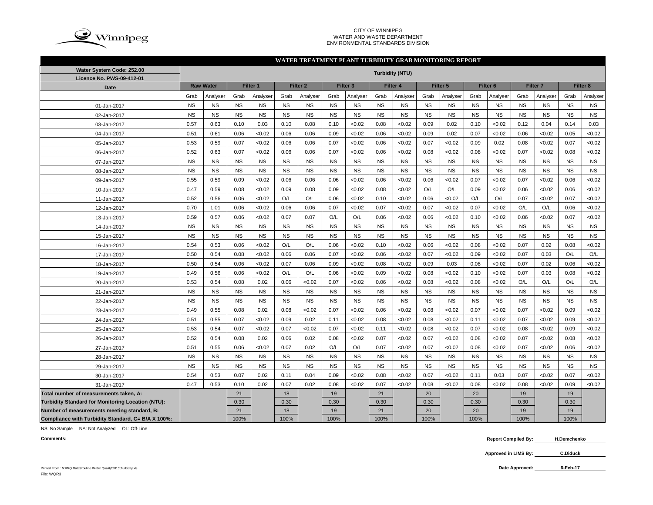

#### CITY OF WINNIPEG WATER AND WASTE DEPARTMENT ENVIRONMENTAL STANDARDS DIVISION

### **WATER TREATMENT PLANT TURBIDITY GRAB MONITORING REPORT**

| Water System Code: 252.00                          |           |                  |           |           |           |                     |           |                     |           | <b>Turbidity (NTU)</b> |           |           |           |                     |           |                     |           |           |
|----------------------------------------------------|-----------|------------------|-----------|-----------|-----------|---------------------|-----------|---------------------|-----------|------------------------|-----------|-----------|-----------|---------------------|-----------|---------------------|-----------|-----------|
| Licence No. PWS-09-412-01                          |           |                  |           |           |           |                     |           |                     |           |                        |           |           |           |                     |           |                     |           |           |
| <b>Date</b>                                        |           | <b>Raw Water</b> |           | Filter 1  |           | Filter <sub>2</sub> |           | Filter <sub>3</sub> |           | Filter 4               |           | Filter 5  |           | Filter <sub>6</sub> |           | Filter <sub>7</sub> |           | Filter 8  |
|                                                    | Grab      | Analyser         | Grab      | Analyser  | Grab      | Analyser            | Grab      | Analyser            | Grab      | Analyser               | Grab      | Analyser  | Grab      | Analyser            | Grab      | Analyser            | Grab      | Analyser  |
| 01-Jan-2017                                        | <b>NS</b> | <b>NS</b>        | <b>NS</b> | <b>NS</b> | <b>NS</b> | <b>NS</b>           | <b>NS</b> | <b>NS</b>           | <b>NS</b> | <b>NS</b>              | <b>NS</b> | <b>NS</b> | <b>NS</b> | <b>NS</b>           | <b>NS</b> | <b>NS</b>           | <b>NS</b> | <b>NS</b> |
| 02-Jan-2017                                        | <b>NS</b> | <b>NS</b>        | <b>NS</b> | <b>NS</b> | <b>NS</b> | <b>NS</b>           | <b>NS</b> | <b>NS</b>           | <b>NS</b> | <b>NS</b>              | <b>NS</b> | <b>NS</b> | <b>NS</b> | <b>NS</b>           | <b>NS</b> | <b>NS</b>           | <b>NS</b> | <b>NS</b> |
| 03-Jan-2017                                        | 0.57      | 0.63             | 0.10      | 0.03      | 0.10      | 0.08                | 0.10      | < 0.02              | 0.08      | < 0.02                 | 0.09      | 0.02      | 0.10      | <0.02               | 0.12      | 0.04                | 0.14      | 0.03      |
| 04-Jan-2017                                        | 0.51      | 0.61             | 0.06      | < 0.02    | 0.06      | 0.06                | 0.09      | < 0.02              | 0.06      | < 0.02                 | 0.09      | 0.02      | 0.07      | <0.02               | 0.06      | <0.02               | 0.05      | <0.02     |
| 05-Jan-2017                                        | 0.53      | 0.59             | 0.07      | < 0.02    | 0.06      | 0.06                | 0.07      | < 0.02              | 0.06      | < 0.02                 | 0.07      | < 0.02    | 0.09      | 0.02                | 0.08      | <0.02               | 0.07      | <0.02     |
| 06-Jan-2017                                        | 0.52      | 0.63             | 0.07      | < 0.02    | 0.06      | 0.06                | 0.07      | < 0.02              | 0.06      | < 0.02                 | 0.08      | < 0.02    | 0.08      | <0.02               | 0.07      | <0.02               | 0.08      | <0.02     |
| 07-Jan-2017                                        | <b>NS</b> | <b>NS</b>        | <b>NS</b> | <b>NS</b> | <b>NS</b> | <b>NS</b>           | <b>NS</b> | <b>NS</b>           | <b>NS</b> | <b>NS</b>              | <b>NS</b> | <b>NS</b> | <b>NS</b> | <b>NS</b>           | <b>NS</b> | <b>NS</b>           | <b>NS</b> | <b>NS</b> |
| 08-Jan-2017                                        | <b>NS</b> | <b>NS</b>        | <b>NS</b> | <b>NS</b> | <b>NS</b> | <b>NS</b>           | <b>NS</b> | <b>NS</b>           | <b>NS</b> | <b>NS</b>              | <b>NS</b> | <b>NS</b> | <b>NS</b> | <b>NS</b>           | <b>NS</b> | <b>NS</b>           | <b>NS</b> | <b>NS</b> |
| 09-Jan-2017                                        | 0.55      | 0.59             | 0.09      | < 0.02    | 0.06      | 0.06                | 0.06      | < 0.02              | 0.06      | <0.02                  | 0.06      | < 0.02    | 0.07      | <0.02               | 0.07      | <0.02               | 0.06      | <0.02     |
| 10-Jan-2017                                        | 0.47      | 0.59             | 0.08      | < 0.02    | 0.09      | 0.08                | 0.09      | < 0.02              | 0.08      | <0.02                  | O/L       | O/L       | 0.09      | <0.02               | 0.06      | <0.02               | 0.06      | <0.02     |
| 11-Jan-2017                                        | 0.52      | 0.56             | 0.06      | < 0.02    | O/L       | O/L                 | 0.06      | < 0.02              | 0.10      | <0.02                  | 0.06      | < 0.02    | O/L       | O/L                 | 0.07      | <0.02               | 0.07      | <0.02     |
| 12-Jan-2017                                        | 0.70      | 1.01             | 0.06      | < 0.02    | 0.06      | 0.06                | 0.07      | < 0.02              | 0.07      | < 0.02                 | 0.07      | < 0.02    | 0.07      | <0.02               | O/L       | O/L                 | 0.06      | <0.02     |
| 13-Jan-2017                                        | 0.59      | 0.57             | 0.06      | < 0.02    | 0.07      | 0.07                | O/L       | O/L                 | 0.06      | < 0.02                 | 0.06      | < 0.02    | 0.10      | <0.02               | 0.06      | <0.02               | 0.07      | <0.02     |
| 14-Jan-2017                                        | <b>NS</b> | <b>NS</b>        | <b>NS</b> | <b>NS</b> | <b>NS</b> | <b>NS</b>           | <b>NS</b> | <b>NS</b>           | <b>NS</b> | <b>NS</b>              | <b>NS</b> | <b>NS</b> | <b>NS</b> | <b>NS</b>           | <b>NS</b> | <b>NS</b>           | <b>NS</b> | <b>NS</b> |
| 15-Jan-2017                                        | <b>NS</b> | <b>NS</b>        | <b>NS</b> | <b>NS</b> | <b>NS</b> | <b>NS</b>           | <b>NS</b> | <b>NS</b>           | <b>NS</b> | <b>NS</b>              | <b>NS</b> | <b>NS</b> | <b>NS</b> | <b>NS</b>           | <b>NS</b> | <b>NS</b>           | <b>NS</b> | <b>NS</b> |
| 16-Jan-2017                                        | 0.54      | 0.53             | 0.06      | < 0.02    | O/L       | O/L                 | 0.06      | < 0.02              | 0.10      | < 0.02                 | 0.06      | < 0.02    | 0.08      | <0.02               | 0.07      | 0.02                | 0.08      | <0.02     |
| 17-Jan-2017                                        | 0.50      | 0.54             | 0.08      | < 0.02    | 0.06      | 0.06                | 0.07      | < 0.02              | 0.06      | < 0.02                 | 0.07      | < 0.02    | 0.09      | <0.02               | 0.07      | 0.03                | O/L       | O/L       |
| 18-Jan-2017                                        | 0.50      | 0.54             | 0.06      | < 0.02    | 0.07      | 0.06                | 0.09      | < 0.02              | 0.08      | < 0.02                 | 0.09      | 0.03      | 0.08      | <0.02               | 0.07      | 0.02                | 0.06      | <0.02     |
| 19-Jan-2017                                        | 0.49      | 0.56             | 0.06      | < 0.02    | O/L       | O/L                 | 0.06      | < 0.02              | 0.09      | < 0.02                 | 0.08      | < 0.02    | 0.10      | <0.02               | 0.07      | 0.03                | 0.08      | <0.02     |
| 20-Jan-2017                                        | 0.53      | 0.54             | 0.08      | 0.02      | 0.06      | < 0.02              | 0.07      | < 0.02              | 0.06      | <0.02                  | 0.08      | < 0.02    | 0.08      | <0.02               | O/L       | O/L                 | O/L       | O/L       |
| 21-Jan-2017                                        | <b>NS</b> | <b>NS</b>        | <b>NS</b> | <b>NS</b> | <b>NS</b> | <b>NS</b>           | <b>NS</b> | <b>NS</b>           | <b>NS</b> | <b>NS</b>              | <b>NS</b> | <b>NS</b> | <b>NS</b> | <b>NS</b>           | <b>NS</b> | <b>NS</b>           | <b>NS</b> | <b>NS</b> |
| 22-Jan-2017                                        | <b>NS</b> | <b>NS</b>        | <b>NS</b> | <b>NS</b> | <b>NS</b> | <b>NS</b>           | <b>NS</b> | <b>NS</b>           | <b>NS</b> | <b>NS</b>              | <b>NS</b> | <b>NS</b> | <b>NS</b> | <b>NS</b>           | <b>NS</b> | <b>NS</b>           | <b>NS</b> | <b>NS</b> |
| 23-Jan-2017                                        | 0.49      | 0.55             | 0.08      | 0.02      | 0.08      | < 0.02              | 0.07      | < 0.02              | 0.06      | < 0.02                 | 0.08      | < 0.02    | 0.07      | <0.02               | 0.07      | <0.02               | 0.09      | <0.02     |
| 24-Jan-2017                                        | 0.51      | 0.55             | 0.07      | < 0.02    | 0.09      | 0.02                | 0.11      | < 0.02              | 0.08      | < 0.02                 | 0.08      | < 0.02    | 0.11      | <0.02               | 0.07      | <0.02               | 0.09      | <0.02     |
| 25-Jan-2017                                        | 0.53      | 0.54             | 0.07      | < 0.02    | 0.07      | < 0.02              | 0.07      | < 0.02              | 0.11      | < 0.02                 | 0.08      | < 0.02    | 0.07      | <0.02               | 0.08      | <0.02               | 0.09      | <0.02     |
| 26-Jan-2017                                        | 0.52      | 0.54             | 0.08      | 0.02      | 0.06      | 0.02                | 0.08      | < 0.02              | 0.07      | < 0.02                 | 0.07      | < 0.02    | 0.08      | <0.02               | 0.07      | <0.02               | 0.08      | <0.02     |
| 27-Jan-2017                                        | 0.51      | 0.55             | 0.06      | < 0.02    | 0.07      | 0.02                | O/L       | O/L                 | 0.07      | < 0.02                 | 0.07      | < 0.02    | 0.08      | <0.02               | 0.07      | <0.02               | 0.06      | <0.02     |
| 28-Jan-2017                                        | <b>NS</b> | <b>NS</b>        | <b>NS</b> | <b>NS</b> | <b>NS</b> | <b>NS</b>           | <b>NS</b> | <b>NS</b>           | <b>NS</b> | <b>NS</b>              | <b>NS</b> | <b>NS</b> | <b>NS</b> | <b>NS</b>           | <b>NS</b> | <b>NS</b>           | <b>NS</b> | <b>NS</b> |
| 29-Jan-2017                                        | <b>NS</b> | <b>NS</b>        | <b>NS</b> | <b>NS</b> | <b>NS</b> | <b>NS</b>           | <b>NS</b> | <b>NS</b>           | <b>NS</b> | <b>NS</b>              | <b>NS</b> | <b>NS</b> | <b>NS</b> | <b>NS</b>           | <b>NS</b> | <b>NS</b>           | <b>NS</b> | <b>NS</b> |
| 30-Jan-2017                                        | 0.54      | 0.53             | 0.07      | 0.02      | 0.11      | 0.04                | 0.09      | < 0.02              | 0.08      | < 0.02                 | 0.07      | < 0.02    | 0.11      | 0.03                | 0.07      | <0.02               | 0.07      | <0.02     |
| 31-Jan-2017                                        | 0.47      | 0.53             | 0.10      | 0.02      | 0.07      | 0.02                | 0.08      | < 0.02              | 0.07      | < 0.02                 | 0.08      | < 0.02    | 0.08      | <0.02               | 0.08      | <0.02               | 0.09      | <0.02     |
| Total number of measurements taken, A:             |           |                  | 21        |           | 18        |                     | 19        |                     | 21        |                        | 20        |           | 20        |                     | 19        |                     | 19        |           |
| Turbidity Standard for Monitoring Location (NTU):  |           |                  | 0.30      |           | 0.30      |                     | 0.30      |                     | 0.30      |                        | 0.30      |           | 0.30      |                     | 0.30      |                     | 0.30      |           |
| Number of measurements meeting standard, B:        |           |                  | 21        |           | 18        |                     | 19        |                     | 21        |                        | 20        |           | 20        |                     | 19        |                     | 19        |           |
| Compliance with Turbidity Standard, C= B/A X 100%: |           |                  | 100%      |           | 100%      |                     | 100%      |                     | 100%      |                        | 100%      |           | 100%      |                     | 100%      |                     | 100%      |           |

NS: No Sample NA: Not Analyzed OL: Off-Line

**Comments: Report Compiled By: H.Demchenko**

**Approved in LIMS By: C.Diduck**

**6-Feb-17**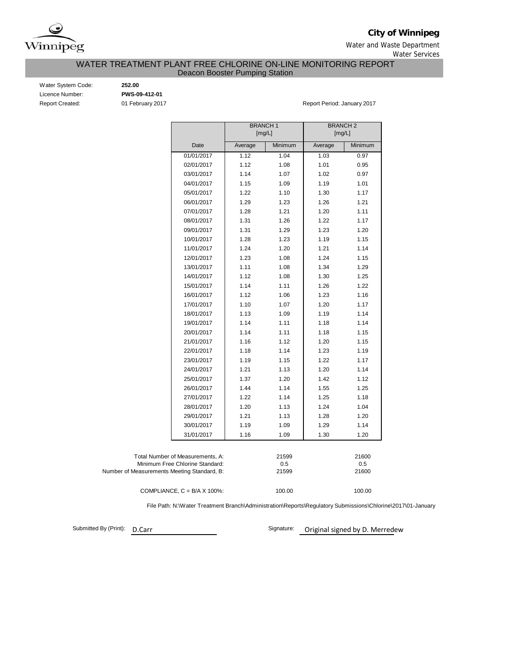

**City of Winnipeg**

Water and Waste Department Water Services

# WATER TREATMENT PLANT FREE CHLORINE ON-LINE MONITORING REPORT

Deacon Booster Pumping Station

Water System Code: **252.00** Licence Number: **PWS-09-412-01**

Report Created: 01 February 2017 **Report Period: January 2017** Report Period: January 2017

|                                             |                                      | <b>BRANCH1</b> |         | <b>BRANCH2</b> |         |
|---------------------------------------------|--------------------------------------|----------------|---------|----------------|---------|
|                                             |                                      | [mg/L]         |         | [mg/L]         |         |
|                                             | Date                                 | Average        | Minimum | Average        | Minimum |
|                                             | 01/01/2017                           | 1.12           | 1.04    | 1.03           | 0.97    |
|                                             | 02/01/2017                           | 1.12           | 1.08    | 1.01           | 0.95    |
|                                             | 03/01/2017                           | 1.14           | 1.07    | 1.02           | 0.97    |
|                                             | 04/01/2017                           | 1.15           | 1.09    | 1.19           | 1.01    |
|                                             | 05/01/2017                           | 1.22           | 1.10    | 1.30           | 1.17    |
|                                             | 06/01/2017                           | 1.29           | 1.23    | 1.26           | 1.21    |
|                                             | 07/01/2017                           | 1.28           | 1.21    | 1.20           | 1.11    |
|                                             | 08/01/2017                           | 1.31           | 1.26    | 1.22           | 1.17    |
|                                             | 09/01/2017                           | 1.31           | 1.29    | 1.23           | 1.20    |
|                                             | 10/01/2017                           | 1.28           | 1.23    | 1.19           | 1.15    |
|                                             | 11/01/2017                           | 1.24           | 1.20    | 1.21           | 1.14    |
|                                             | 12/01/2017                           | 1.23           | 1.08    | 1.24           | 1.15    |
|                                             | 13/01/2017                           | 1.11           | 1.08    | 1.34           | 1.29    |
|                                             | 14/01/2017                           | 1.12           | 1.08    | 1.30           | 1.25    |
|                                             | 15/01/2017                           | 1.14           | 1.11    | 1.26           | 1.22    |
|                                             | 16/01/2017                           | 1.12           | 1.06    | 1.23           | 1.16    |
|                                             | 17/01/2017                           | 1.10           | 1.07    | 1.20           | 1.17    |
|                                             | 18/01/2017                           | 1.13           | 1.09    | 1.19           | 1.14    |
|                                             | 19/01/2017                           | 1.14           | 1.11    | 1.18           | 1.14    |
|                                             | 20/01/2017                           | 1.14           | 1.11    | 1.18           | 1.15    |
|                                             | 21/01/2017                           | 1.16           | 1.12    | 1.20           | 1.15    |
|                                             | 22/01/2017                           | 1.18           | 1.14    | 1.23           | 1.19    |
|                                             | 23/01/2017                           | 1.19           | 1.15    | 1.22           | 1.17    |
|                                             | 24/01/2017                           | 1.21           | 1.13    | 1.20           | 1.14    |
|                                             | 25/01/2017                           | 1.37           | 1.20    | 1.42           | 1.12    |
|                                             | 26/01/2017                           | 1.44           | 1.14    | 1.55           | 1.25    |
|                                             | 27/01/2017                           | 1.22           | 1.14    | 1.25           | 1.18    |
|                                             | 28/01/2017                           | 1.20           | 1.13    | 1.24           | 1.04    |
|                                             | 29/01/2017                           | 1.21           | 1.13    | 1.28           | 1.20    |
|                                             | 30/01/2017                           | 1.19           | 1.09    | 1.29           | 1.14    |
|                                             | 31/01/2017                           | 1.16           | 1.09    | 1.30           | 1.20    |
|                                             |                                      |                |         |                |         |
|                                             | Total Number of Measurements, A:     |                | 21599   |                | 21600   |
|                                             | Minimum Free Chlorine Standard:      |                | 0.5     |                | 0.5     |
| Number of Measurements Meeting Standard, B: |                                      |                | 21599   |                | 21600   |
|                                             |                                      |                |         |                |         |
|                                             | COMPLIANCE, $C = B/A \times 100\%$ : |                | 100.00  |                | 100.00  |

File Path: N:\Water Treatment Branch\Administration\Reports\Regulatory Submissions\Chlorine\2017\01-January

Submitted By (Print): D.Carr

Signature: Original signed by D. Merredew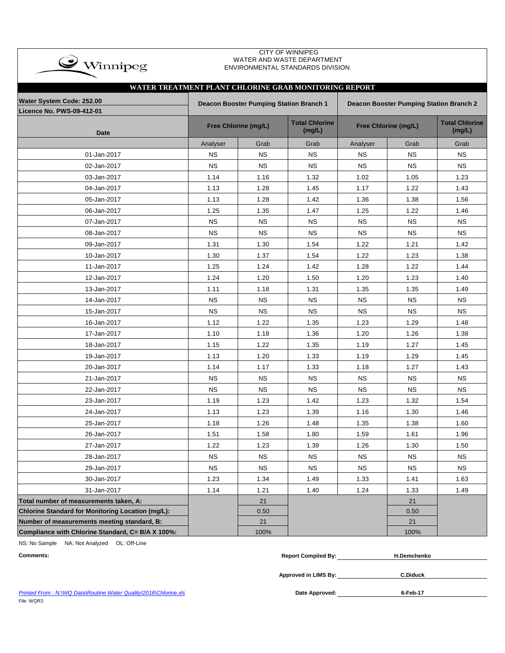| $\bullet$ Winnipeg                                            |           |                                                | <b>CITY OF WINNIPEG</b><br>WATER AND WASTE DEPARTMENT<br>ENVIRONMENTAL STANDARDS DIVISION |                      |                                         |                                 |
|---------------------------------------------------------------|-----------|------------------------------------------------|-------------------------------------------------------------------------------------------|----------------------|-----------------------------------------|---------------------------------|
| WATER TREATMENT PLANT CHLORINE GRAB MONITORING REPORT         |           |                                                |                                                                                           |                      |                                         |                                 |
| Water System Code: 252.00<br><b>Licence No. PWS-09-412-01</b> |           | <b>Deacon Booster Pumping Station Branch 1</b> |                                                                                           |                      | Deacon Booster Pumping Station Branch 2 |                                 |
| <b>Date</b>                                                   |           | Free Chlorine (mg/L)                           | <b>Total Chlorine</b><br>(mg/L)                                                           | Free Chlorine (mg/L) |                                         | <b>Total Chlorine</b><br>(mg/L) |
|                                                               | Analyser  | Grab                                           | Grab                                                                                      | Analyser             | Grab                                    | Grab                            |
| 01-Jan-2017                                                   | <b>NS</b> | <b>NS</b>                                      | <b>NS</b>                                                                                 | <b>NS</b>            | <b>NS</b>                               | <b>NS</b>                       |
| 02-Jan-2017                                                   | <b>NS</b> | <b>NS</b>                                      | <b>NS</b>                                                                                 | <b>NS</b>            | <b>NS</b>                               | <b>NS</b>                       |
| 03-Jan-2017                                                   | 1.14      | 1.16                                           | 1.32                                                                                      | 1.02                 | 1.05                                    | 1.23                            |
| 04-Jan-2017                                                   | 1.13      | 1.28                                           | 1.45                                                                                      | 1.17                 | 1.22                                    | 1.43                            |
| 05-Jan-2017                                                   | 1.13      | 1.28                                           | 1.42                                                                                      | 1.36                 | 1.38                                    | 1.56                            |
| 06-Jan-2017                                                   | 1.25      | 1.35                                           | 1.47                                                                                      | 1.25                 | 1.22                                    | 1.46                            |
| 07-Jan-2017                                                   | <b>NS</b> | <b>NS</b>                                      | <b>NS</b>                                                                                 | <b>NS</b>            | <b>NS</b>                               | <b>NS</b>                       |
| 08-Jan-2017                                                   | <b>NS</b> | <b>NS</b>                                      | <b>NS</b>                                                                                 | <b>NS</b>            | <b>NS</b>                               | <b>NS</b>                       |
| 09-Jan-2017                                                   | 1.31      | 1.30                                           | 1.54                                                                                      | 1.22                 | 1.21                                    | 1.42                            |
| 10-Jan-2017                                                   | 1.30      | 1.37                                           | 1.54                                                                                      | 1.22                 | 1.23                                    | 1.38                            |
| 11-Jan-2017                                                   | 1.25      | 1.24                                           | 1.42                                                                                      | 1.28                 | 1.22                                    | 1.44                            |
| 12-Jan-2017                                                   | 1.24      | 1.20                                           | 1.50                                                                                      | 1.20                 | 1.23                                    | 1.40                            |
| 13-Jan-2017                                                   | 1.11      | 1.18                                           | 1.31                                                                                      | 1.35                 | 1.35                                    | 1.49                            |
| 14-Jan-2017                                                   | <b>NS</b> | <b>NS</b>                                      | <b>NS</b>                                                                                 | <b>NS</b>            | <b>NS</b>                               | <b>NS</b>                       |
| 15-Jan-2017                                                   | <b>NS</b> | <b>NS</b>                                      | <b>NS</b>                                                                                 | <b>NS</b>            | <b>NS</b>                               | <b>NS</b>                       |
| 16-Jan-2017                                                   | 1.12      | 1.22                                           | 1.35                                                                                      | 1.23                 | 1.29                                    | 1.48                            |
| 17-Jan-2017                                                   | 1.10      | 1.18                                           | 1.36                                                                                      | 1.20                 | 1.26                                    | 1.38                            |
| 18-Jan-2017                                                   | 1.15      | 1.22                                           | 1.35                                                                                      | 1.19                 | 1.27                                    | 1.45                            |
| 19-Jan-2017                                                   | 1.13      | 1.20                                           | 1.33                                                                                      | 1.19                 | 1.29                                    | 1.45                            |
| 20-Jan-2017                                                   | 1.14      | 1.17                                           | 1.33                                                                                      | 1.18                 | 1.27                                    | 1.43                            |
| 21-Jan-2017                                                   | <b>NS</b> | <b>NS</b>                                      | <b>NS</b>                                                                                 | <b>NS</b>            | <b>NS</b>                               | <b>NS</b>                       |
| 22-Jan-2017                                                   | <b>NS</b> | <b>NS</b>                                      | <b>NS</b>                                                                                 | <b>NS</b>            | <b>NS</b>                               | <b>NS</b>                       |
| 23-Jan-2017                                                   | 1.19      | 1.23                                           | 1.42                                                                                      | 1.23                 | 1.32                                    | 1.54                            |
| 24-Jan-2017                                                   | 1.13      | 1.23                                           | 1.39                                                                                      | 1.16                 | 1.30                                    | 1.46                            |
| 25-Jan-2017                                                   | 1.18      | 1.26                                           | 1.48                                                                                      | 1.35                 | 1.38                                    | 1.60                            |
| 26-Jan-2017                                                   | 1.51      | 1.58                                           | 1.80                                                                                      | 1.59                 | 1.61                                    | 1.96                            |
| 27-Jan-2017                                                   | 1.22      | 1.23                                           | 1.39                                                                                      | 1.26                 | 1.30                                    | 1.50                            |
| 28-Jan-2017                                                   | <b>NS</b> | <b>NS</b>                                      | <b>NS</b>                                                                                 | <b>NS</b>            | <b>NS</b>                               | <b>NS</b>                       |
| 29-Jan-2017                                                   | <b>NS</b> | <b>NS</b>                                      | <b>NS</b>                                                                                 | <b>NS</b>            | <b>NS</b>                               | <b>NS</b>                       |
| 30-Jan-2017                                                   | 1.23      | 1.34                                           | 1.49                                                                                      | 1.33                 | 1.41                                    | 1.63                            |
| 31-Jan-2017                                                   | 1.14      | 1.21                                           | 1.40                                                                                      | 1.24                 | 1.33                                    | 1.49                            |
| Total number of measurements taken, A:                        |           | 21                                             |                                                                                           |                      | 21                                      |                                 |
| Chlorine Standard for Monitoring Location (mg/L):             |           | 0.50                                           |                                                                                           |                      | 0.50                                    |                                 |
| Number of measurements meeting standard, B:                   |           | 21                                             |                                                                                           |                      | 21                                      |                                 |
| Compliance with Chlorine Standard, C= B/A X 100%:             |           | 100%                                           |                                                                                           |                      | 100%                                    |                                 |

NS: No Sample NA: Not Analyzed OL: Off-Line

| <b>Comments:</b> | <b>Report Compiled By:</b> | <b>H.Demchenko</b> |
|------------------|----------------------------|--------------------|
|                  | Approved in LIMS By:       | <b>C.Diduck</b>    |
|                  |                            |                    |

**Printed From : N:\WQ Data\Routine Water Quality\2016\Chlorine.xls** File: WQR3

Date Approved: **6-Feb-17**